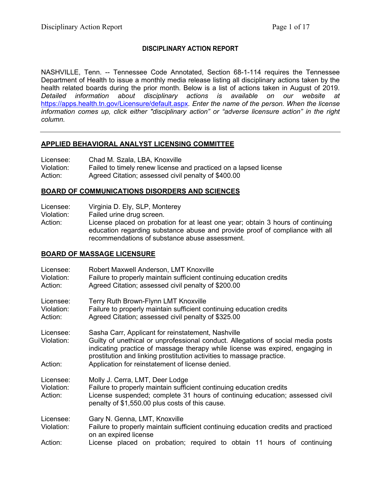# **DISCIPLINARY ACTION REPORT**

NASHVILLE, Tenn. -- Tennessee Code Annotated, Section 68-1-114 requires the Tennessee Department of Health to issue a monthly media release listing all disciplinary actions taken by the health related boards during the prior month. Below is a list of actions taken in August of 2019. *Detailed information about disciplinary actions is available on our website at*  <https://apps.health.tn.gov/Licensure/default.aspx>*. Enter the name of the person. When the license information comes up, click either "disciplinary action" or "adverse licensure action" in the right column.*

### **APPLIED BEHAVIORAL ANALYST LICENSING COMMITTEE**

| Licensee:  | Chad M. Szala, LBA, Knoxville                                    |
|------------|------------------------------------------------------------------|
| Violation: | Failed to timely renew license and practiced on a lapsed license |
| Action:    | Agreed Citation; assessed civil penalty of \$400.00              |

## **BOARD OF COMMUNICATIONS DISORDERS AND SCIENCES**

Licensee: Virginia D. Ely, SLP, Monterey

Violation: Failed urine drug screen.

Action: License placed on probation for at least one year; obtain 3 hours of continuing education regarding substance abuse and provide proof of compliance with all recommendations of substance abuse assessment.

### **BOARD OF MASSAGE LICENSURE**

| Licensee:<br>Violation:<br>Action: | Robert Maxwell Anderson, LMT Knoxville<br>Failure to properly maintain sufficient continuing education credits<br>Agreed Citation; assessed civil penalty of \$200.00                                                                                                                                                                                |
|------------------------------------|------------------------------------------------------------------------------------------------------------------------------------------------------------------------------------------------------------------------------------------------------------------------------------------------------------------------------------------------------|
| Licensee:<br>Violation:<br>Action: | Terry Ruth Brown-Flynn LMT Knoxville<br>Failure to properly maintain sufficient continuing education credits<br>Agreed Citation; assessed civil penalty of \$325.00                                                                                                                                                                                  |
| Licensee:<br>Violation:<br>Action: | Sasha Carr, Applicant for reinstatement, Nashville<br>Guilty of unethical or unprofessional conduct. Allegations of social media posts<br>indicating practice of massage therapy while license was expired, engaging in<br>prostitution and linking prostitution activities to massage practice.<br>Application for reinstatement of license denied. |
| Licensee:<br>Violation:<br>Action: | Molly J. Cerra, LMT, Deer Lodge<br>Failure to properly maintain sufficient continuing education credits<br>License suspended; complete 31 hours of continuing education; assessed civil<br>penalty of \$1,550.00 plus costs of this cause.                                                                                                           |
| Licensee:<br>Violation:            | Gary N. Genna, LMT, Knoxville<br>Failure to properly maintain sufficient continuing education credits and practiced<br>on an expired license                                                                                                                                                                                                         |
| Action:                            | License placed on probation; required to obtain 11 hours of continuing                                                                                                                                                                                                                                                                               |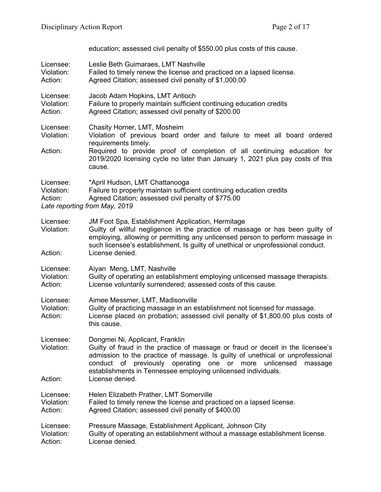education; assessed civil penalty of \$550.00 plus costs of this cause.

| Licensee:<br>Violation:<br>Action: | Leslie Beth Guimaraes, LMT Nashville<br>Failed to timely renew the license and practiced on a lapsed license.<br>Agreed Citation; assessed civil penalty of \$1,000.00                                                                                                                                                                              |
|------------------------------------|-----------------------------------------------------------------------------------------------------------------------------------------------------------------------------------------------------------------------------------------------------------------------------------------------------------------------------------------------------|
| Licensee:<br>Violation:<br>Action: | Jacob Adam Hopkins, LMT Antioch<br>Failure to properly maintain sufficient continuing education credits<br>Agreed Citation; assessed civil penalty of \$200.00                                                                                                                                                                                      |
| Licensee:<br>Violation:            | Chasity Horner, LMT, Mosheim<br>Violation of previous board order and failure to meet all board ordered<br>requirements timely.                                                                                                                                                                                                                     |
| Action:                            | Required to provide proof of completion of all continuing education for<br>2019/2020 licensing cycle no later than January 1, 2021 plus pay costs of this<br>cause.                                                                                                                                                                                 |
| Licensee:<br>Violation:<br>Action: | *April Hudson, LMT Chattanooga<br>Failure to properly maintain sufficient continuing education credits<br>Agreed Citation; assessed civil penalty of \$775.00<br>Late reporting from May, 2019                                                                                                                                                      |
| Licensee:<br>Violation:<br>Action: | JM Foot Spa, Establishment Application, Hermitage<br>Guilty of willful negligence in the practice of massage or has been guilty of<br>employing, allowing or permitting any unlicensed person to perform massage in<br>such licensee's establishment. Is guilty of unethical or unprofessional conduct.<br>License denied.                          |
| Licensee:<br>Violation:<br>Action: | Aiyan Meng, LMT, Nashville<br>Guilty of operating an establishment employing unlicensed massage therapists.<br>License voluntarily surrendered; assessed costs of this cause.                                                                                                                                                                       |
| Licensee:<br>Violation:<br>Action: | Aimee Messmer, LMT, Madisonville<br>Guilty of practicing massage in an establishment not licensed for massage.<br>License placed on probation; assessed civil penalty of \$1,800.00 plus costs of<br>this cause.                                                                                                                                    |
| Licensee:<br>Violation:            | Dongmei Ni, Applicant, Franklin<br>Guilty of fraud in the practice of massage or fraud or deceit in the licensee's<br>admission to the practice of massage. Is guilty of unethical or unprofessional<br>conduct of previously<br>operating one or<br>more<br>unlicensed<br>massage<br>establishments in Tennessee employing unlicensed individuals. |
| Action:                            | License denied.                                                                                                                                                                                                                                                                                                                                     |
| Licensee:<br>Violation:<br>Action: | Helen Elizabeth Prather, LMT Somerville<br>Failed to timely renew the license and practiced on a lapsed license.<br>Agreed Citation; assessed civil penalty of \$400.00                                                                                                                                                                             |
| Licensee:<br>Violation:<br>Action: | Pressure Massage, Establishment Applicant, Johnson City<br>Guilty of operating an establishment without a massage establishment license.<br>License denied.                                                                                                                                                                                         |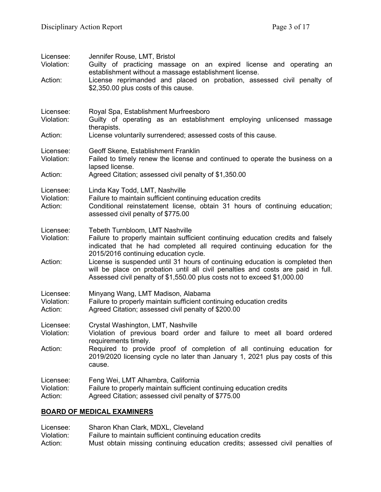| Licensee:<br>Violation:<br>Action: | Jennifer Rouse, LMT, Bristol<br>Guilty of practicing massage on an expired license and operating an<br>establishment without a massage establishment license.<br>License reprimanded and placed on probation, assessed civil penalty of<br>\$2,350.00 plus costs of this cause.                                                                                                                                                                                                            |
|------------------------------------|--------------------------------------------------------------------------------------------------------------------------------------------------------------------------------------------------------------------------------------------------------------------------------------------------------------------------------------------------------------------------------------------------------------------------------------------------------------------------------------------|
| Licensee:<br>Violation:<br>Action: | Royal Spa, Establishment Murfreesboro<br>Guilty of operating as an establishment employing unlicensed massage<br>therapists.<br>License voluntarily surrendered; assessed costs of this cause.                                                                                                                                                                                                                                                                                             |
| Licensee:<br>Violation:<br>Action: | Geoff Skene, Establishment Franklin<br>Failed to timely renew the license and continued to operate the business on a<br>lapsed license.<br>Agreed Citation; assessed civil penalty of \$1,350.00                                                                                                                                                                                                                                                                                           |
| Licensee:<br>Violation:<br>Action: | Linda Kay Todd, LMT, Nashville<br>Failure to maintain sufficient continuing education credits<br>Conditional reinstatement license, obtain 31 hours of continuing education;<br>assessed civil penalty of \$775.00                                                                                                                                                                                                                                                                         |
| Licensee:<br>Violation:<br>Action: | Tebeth Turnbloom, LMT Nashville<br>Failure to properly maintain sufficient continuing education credits and falsely<br>indicated that he had completed all required continuing education for the<br>2015/2016 continuing education cycle.<br>License is suspended until 31 hours of continuing education is completed then<br>will be place on probation until all civil penalties and costs are paid in full.<br>Assessed civil penalty of \$1,550.00 plus costs not to exceed \$1,000.00 |
| Licensee:<br>Violation:<br>Action: | Minyang Wang, LMT Madison, Alabama<br>Failure to properly maintain sufficient continuing education credits<br>Agreed Citation; assessed civil penalty of \$200.00                                                                                                                                                                                                                                                                                                                          |
| Licensee:<br>Violation:<br>Action: | Crystal Washington, LMT, Nashville<br>Violation of previous board order and failure to meet all board ordered<br>requirements timely.<br>Required to provide proof of completion of all continuing education for<br>2019/2020 licensing cycle no later than January 1, 2021 plus pay costs of this<br>cause.                                                                                                                                                                               |
| Licensee:<br>Violation:<br>Action: | Feng Wei, LMT Alhambra, California<br>Failure to properly maintain sufficient continuing education credits<br>Agreed Citation; assessed civil penalty of \$775.00                                                                                                                                                                                                                                                                                                                          |
|                                    |                                                                                                                                                                                                                                                                                                                                                                                                                                                                                            |

# **BOARD OF MEDICAL EXAMINERS**

Licensee: Sharon Khan Clark, MDXL, Cleveland Violation: Failure to maintain sufficient continuing education credits Action: Must obtain missing continuing education credits; assessed civil penalties of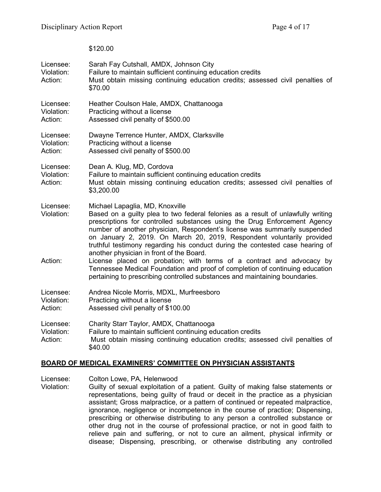\$120.00

| Licensee:<br>Violation:<br>Action: | Sarah Fay Cutshall, AMDX, Johnson City<br>Failure to maintain sufficient continuing education credits<br>Must obtain missing continuing education credits; assessed civil penalties of<br>\$70.00                                                                                                                                                                                                                                                                                    |
|------------------------------------|--------------------------------------------------------------------------------------------------------------------------------------------------------------------------------------------------------------------------------------------------------------------------------------------------------------------------------------------------------------------------------------------------------------------------------------------------------------------------------------|
| Licensee:<br>Violation:<br>Action: | Heather Coulson Hale, AMDX, Chattanooga<br>Practicing without a license<br>Assessed civil penalty of \$500.00                                                                                                                                                                                                                                                                                                                                                                        |
| Licensee:<br>Violation:<br>Action: | Dwayne Terrence Hunter, AMDX, Clarksville<br>Practicing without a license<br>Assessed civil penalty of \$500.00                                                                                                                                                                                                                                                                                                                                                                      |
| Licensee:<br>Violation:<br>Action: | Dean A. Klug, MD, Cordova<br>Failure to maintain sufficient continuing education credits<br>Must obtain missing continuing education credits; assessed civil penalties of<br>\$3,200.00                                                                                                                                                                                                                                                                                              |
| Licensee:<br>Violation:            | Michael Lapaglia, MD, Knoxville<br>Based on a guilty plea to two federal felonies as a result of unlawfully writing<br>prescriptions for controlled substances using the Drug Enforcement Agency<br>number of another physician, Respondent's license was summarily suspended<br>on January 2, 2019. On March 20, 2019, Respondent voluntarily provided<br>truthful testimony regarding his conduct during the contested case hearing of<br>another physician in front of the Board. |
| Action:                            | License placed on probation; with terms of a contract and advocacy by<br>Tennessee Medical Foundation and proof of completion of continuing education<br>pertaining to prescribing controlled substances and maintaining boundaries.                                                                                                                                                                                                                                                 |
| Licensee:<br>Violation:<br>Action: | Andrea Nicole Morris, MDXL, Murfreesboro<br>Practicing without a license<br>Assessed civil penalty of \$100.00                                                                                                                                                                                                                                                                                                                                                                       |
| Licensee:<br>Violation:<br>Action: | Charity Starr Taylor, AMDX, Chattanooga<br>Failure to maintain sufficient continuing education credits<br>Must obtain missing continuing education credits; assessed civil penalties of<br>\$40.00                                                                                                                                                                                                                                                                                   |

### **BOARD OF MEDICAL EXAMINERS' COMMITTEE ON PHYSICIAN ASSISTANTS**

Licensee: Colton Lowe, PA, Helenwood<br>Violation: Guilty of sexual exploitation of

Guilty of sexual exploitation of a patient. Guilty of making false statements or representations, being guilty of fraud or deceit in the practice as a physician assistant; Gross malpractice, or a pattern of continued or repeated malpractice, ignorance, negligence or incompetence in the course of practice; Dispensing, prescribing or otherwise distributing to any person a controlled substance or other drug not in the course of professional practice, or not in good faith to relieve pain and suffering, or not to cure an ailment, physical infirmity or disease; Dispensing, prescribing, or otherwise distributing any controlled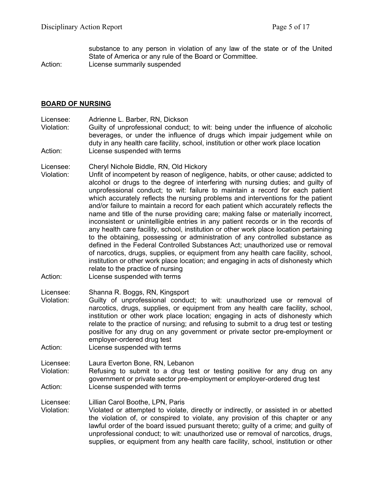substance to any person in violation of any law of the state or of the United State of America or any rule of the Board or Committee.

Action: License summarily suspended

### **BOARD OF NURSING**

Licensee: Adrienne L. Barber, RN, Dickson<br>Violation: Guilty of unprofessional conduct

Guilty of unprofessional conduct; to wit: being under the influence of alcoholic beverages, or under the influence of drugs which impair judgement while on duty in any health care facility, school, institution or other work place location Action: License suspended with terms

Licensee: Cheryl Nichole Biddle, RN, Old Hickory

- Violation: Unfit of incompetent by reason of negligence, habits, or other cause; addicted to alcohol or drugs to the degree of interfering with nursing duties; and guilty of unprofessional conduct; to wit: failure to maintain a record for each patient which accurately reflects the nursing problems and interventions for the patient and/or failure to maintain a record for each patient which accurately reflects the name and title of the nurse providing care; making false or materially incorrect, inconsistent or unintelligible entries in any patient records or in the records of any health care facility, school, institution or other work place location pertaining to the obtaining, possessing or administration of any controlled substance as defined in the Federal Controlled Substances Act; unauthorized use or removal of narcotics, drugs, supplies, or equipment from any health care facility, school, institution or other work place location; and engaging in acts of dishonesty which relate to the practice of nursing
- Action: License suspended with terms
- Licensee: Shanna R. Boggs, RN, Kingsport Violation: Guilty of unprofessional conduct; to wit: unauthorized use or removal of narcotics, drugs, supplies, or equipment from any health care facility, school, institution or other work place location; engaging in acts of dishonesty which relate to the practice of nursing; and refusing to submit to a drug test or testing positive for any drug on any government or private sector pre-employment or employer-ordered drug test
- Action: License suspended with terms

Licensee: Laura Everton Bone, RN, Lebanon Violation: Refusing to submit to a drug test or testing positive for any drug on any government or private sector pre-employment or employer-ordered drug test Action: License suspended with terms

Licensee: Lillian Carol Boothe, LPN, Paris

Violation: Violated or attempted to violate, directly or indirectly, or assisted in or abetted the violation of, or conspired to violate, any provision of this chapter or any lawful order of the board issued pursuant thereto; guilty of a crime; and guilty of unprofessional conduct; to wit: unauthorized use or removal of narcotics, drugs, supplies, or equipment from any health care facility, school, institution or other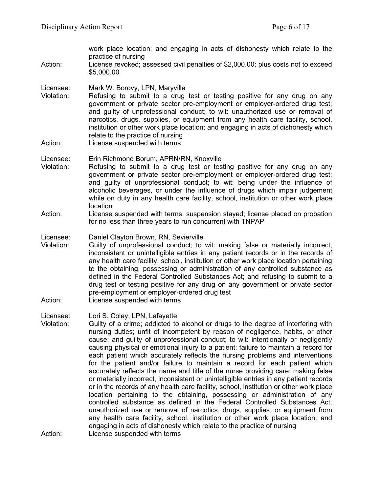work place location; and engaging in acts of dishonesty which relate to the practice of nursing Action: License revoked; assessed civil penalties of \$2,000.00; plus costs not to exceed \$5,000.00 Licensee: Mark W. Borovy, LPN, Maryville

- Violation: Refusing to submit to a drug test or testing positive for any drug on any government or private sector pre-employment or employer-ordered drug test; and guilty of unprofessional conduct; to wit: unauthorized use or removal of narcotics, drugs, supplies, or equipment from any health care facility, school, institution or other work place location; and engaging in acts of dishonesty which relate to the practice of nursing
- Action: License suspended with terms

### Licensee: Erin Richmond Borum, APRN/RN, Knoxville

- Violation: Refusing to submit to a drug test or testing positive for any drug on any government or private sector pre-employment or employer-ordered drug test; and guilty of unprofessional conduct; to wit: being under the influence of alcoholic beverages, or under the influence of drugs which impair judgement while on duty in any health care facility, school, institution or other work place location
- Action: License suspended with terms; suspension stayed; license placed on probation for no less than three years to run concurrent with TNPAP

Licensee: Daniel Clayton Brown, RN, Sevierville

- Violation: Guilty of unprofessional conduct; to wit: making false or materially incorrect, inconsistent or unintelligible entries in any patient records or in the records of any health care facility, school, institution or other work place location pertaining to the obtaining, possessing or administration of any controlled substance as defined in the Federal Controlled Substances Act; and refusing to submit to a drug test or testing positive for any drug on any government or private sector pre-employment or employer-ordered drug test
- Action: License suspended with terms

#### Licensee: Lori S. Coley, LPN, Lafayette

Violation: Guilty of a crime; addicted to alcohol or drugs to the degree of interfering with nursing duties; unfit of incompetent by reason of negligence, habits, or other cause; and guilty of unprofessional conduct; to wit: intentionally or negligently causing physical or emotional injury to a patient; failure to maintain a record for each patient which accurately reflects the nursing problems and interventions for the patient and/or failure to maintain a record for each patient which accurately reflects the name and title of the nurse providing care; making false or materially incorrect, inconsistent or unintelligible entries in any patient records or in the records of any health care facility, school, institution or other work place location pertaining to the obtaining, possessing or administration of any controlled substance as defined in the Federal Controlled Substances Act; unauthorized use or removal of narcotics, drugs, supplies, or equipment from any health care facility, school, institution or other work place location; and engaging in acts of dishonesty which relate to the practice of nursing Action: License suspended with terms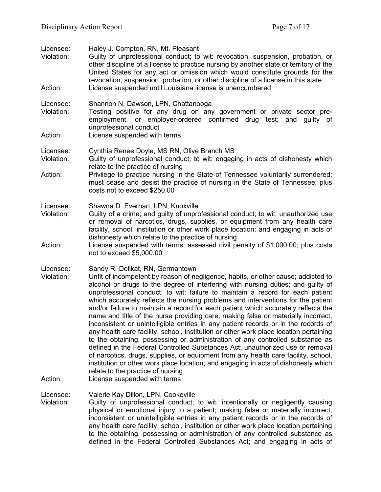| Licensee:<br>Violation:<br>Action: | Haley J. Compton, RN, Mt. Pleasant<br>Guilty of unprofessional conduct; to wit: revocation, suspension, probation, or<br>other discipline of a license to practice nursing by another state or territory of the<br>United States for any act or omission which would constitute grounds for the<br>revocation, suspension, probation, or other discipline of a license in this state<br>License suspended until Louisiana license is unencumbered                                                                                                                                                                                                                                                                                                                                                                                                                                                                                                                                                                                                                                                                                                           |
|------------------------------------|-------------------------------------------------------------------------------------------------------------------------------------------------------------------------------------------------------------------------------------------------------------------------------------------------------------------------------------------------------------------------------------------------------------------------------------------------------------------------------------------------------------------------------------------------------------------------------------------------------------------------------------------------------------------------------------------------------------------------------------------------------------------------------------------------------------------------------------------------------------------------------------------------------------------------------------------------------------------------------------------------------------------------------------------------------------------------------------------------------------------------------------------------------------|
| Licensee:<br>Violation:            | Shannon N. Dawson, LPN, Chattanooga<br>Testing positive for any drug on any government or private sector pre-<br>employment, or employer-ordered confirmed drug test; and guilty of<br>unprofessional conduct                                                                                                                                                                                                                                                                                                                                                                                                                                                                                                                                                                                                                                                                                                                                                                                                                                                                                                                                               |
| Action:                            | License suspended with terms                                                                                                                                                                                                                                                                                                                                                                                                                                                                                                                                                                                                                                                                                                                                                                                                                                                                                                                                                                                                                                                                                                                                |
| Licensee:<br>Violation:            | Cynthia Renee Doyle, MS RN, Olive Branch MS<br>Guilty of unprofessional conduct; to wit: engaging in acts of dishonesty which<br>relate to the practice of nursing                                                                                                                                                                                                                                                                                                                                                                                                                                                                                                                                                                                                                                                                                                                                                                                                                                                                                                                                                                                          |
| Action:                            | Privilege to practice nursing in the State of Tennessee voluntarily surrendered;<br>must cease and desist the practice of nursing in the State of Tennessee; plus<br>costs not to exceed \$250.00                                                                                                                                                                                                                                                                                                                                                                                                                                                                                                                                                                                                                                                                                                                                                                                                                                                                                                                                                           |
| Licensee:<br>Violation:            | Shawna D. Everhart, LPN, Knoxville<br>Guilty of a crime; and guilty of unprofessional conduct; to wit: unauthorized use<br>or removal of narcotics, drugs, supplies, or equipment from any health care<br>facility, school, institution or other work place location; and engaging in acts of<br>dishonesty which relate to the practice of nursing                                                                                                                                                                                                                                                                                                                                                                                                                                                                                                                                                                                                                                                                                                                                                                                                         |
| Action:                            | License suspended with terms; assessed civil penalty of \$1,000.00; plus costs<br>not to exceed \$5,000.00                                                                                                                                                                                                                                                                                                                                                                                                                                                                                                                                                                                                                                                                                                                                                                                                                                                                                                                                                                                                                                                  |
| Licensee:<br>Violation:<br>Action: | Sandy R. Delikat, RN, Germantown<br>Unfit of incompetent by reason of negligence, habits, or other cause; addicted to<br>alcohol or drugs to the degree of interfering with nursing duties; and guilty of<br>unprofessional conduct; to wit: failure to maintain a record for each patient<br>which accurately reflects the nursing problems and interventions for the patient<br>and/or failure to maintain a record for each patient which accurately reflects the<br>name and title of the nurse providing care; making false or materially incorrect,<br>inconsistent or unintelligible entries in any patient records or in the records of<br>any health care facility, school, institution or other work place location pertaining<br>to the obtaining, possessing or administration of any controlled substance as<br>defined in the Federal Controlled Substances Act; unauthorized use or removal<br>of narcotics, drugs, supplies, or equipment from any health care facility, school,<br>institution or other work place location; and engaging in acts of dishonesty which<br>relate to the practice of nursing<br>License suspended with terms |
|                                    |                                                                                                                                                                                                                                                                                                                                                                                                                                                                                                                                                                                                                                                                                                                                                                                                                                                                                                                                                                                                                                                                                                                                                             |
| Licensee:<br>Violation:            | Valerie Kay Dillon, LPN, Cookeville<br>Guilty of unprofessional conduct; to wit: intentionally or negligently causing<br>physical or emotional injury to a patient; making false or materially incorrect,<br>inconsistent or unintelligible entries in any patient records or in the records of<br>any health care facility, school, institution or other work place location pertaining<br>to the obtaining, possessing or administration of any controlled substance as<br>defined in the Federal Controlled Substances Act; and engaging in acts of                                                                                                                                                                                                                                                                                                                                                                                                                                                                                                                                                                                                      |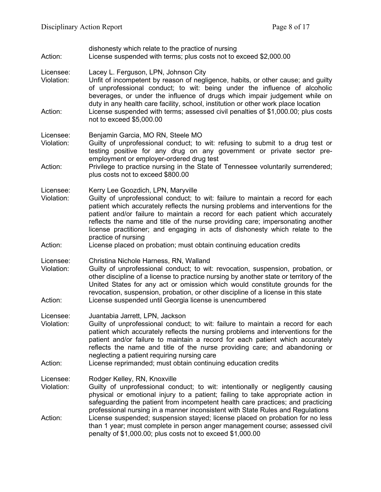- dishonesty which relate to the practice of nursing Action: License suspended with terms; plus costs not to exceed \$2,000.00
- Licensee: Lacey L. Ferguson, LPN, Johnson City
- Violation: Unfit of incompetent by reason of negligence, habits, or other cause; and guilty of unprofessional conduct; to wit: being under the influence of alcoholic beverages, or under the influence of drugs which impair judgement while on duty in any health care facility, school, institution or other work place location Action: License suspended with terms; assessed civil penalties of \$1,000.00; plus costs not to exceed \$5,000.00

#### Licensee: Benjamin Garcia, MO RN, Steele MO

- Violation: Guilty of unprofessional conduct; to wit: refusing to submit to a drug test or testing positive for any drug on any government or private sector preemployment or employer-ordered drug test
- Action: Privilege to practice nursing in the State of Tennessee voluntarily surrendered; plus costs not to exceed \$800.00
- Licensee: Kerry Lee Goozdich, LPN, Maryville
- Violation: Guilty of unprofessional conduct; to wit: failure to maintain a record for each patient which accurately reflects the nursing problems and interventions for the patient and/or failure to maintain a record for each patient which accurately reflects the name and title of the nurse providing care; impersonating another license practitioner; and engaging in acts of dishonesty which relate to the practice of nursing
- Action: License placed on probation; must obtain continuing education credits
- Licensee: Christina Nichole Harness, RN, Walland
- Violation: Guilty of unprofessional conduct; to wit: revocation, suspension, probation, or other discipline of a license to practice nursing by another state or territory of the United States for any act or omission which would constitute grounds for the revocation, suspension, probation, or other discipline of a license in this state Action: License suspended until Georgia license is unencumbered
- Licensee: Juantabia Jarrett, LPN, Jackson
- Violation: Guilty of unprofessional conduct; to wit: failure to maintain a record for each patient which accurately reflects the nursing problems and interventions for the patient and/or failure to maintain a record for each patient which accurately reflects the name and title of the nurse providing care; and abandoning or neglecting a patient requiring nursing care
- Action: License reprimanded; must obtain continuing education credits
- Licensee: Rodger Kelley, RN, Knoxville
- Violation: Guilty of unprofessional conduct; to wit: intentionally or negligently causing physical or emotional injury to a patient; failing to take appropriate action in safeguarding the patient from incompetent health care practices; and practicing professional nursing in a manner inconsistent with State Rules and Regulations Action: License suspended; suspension stayed; license placed on probation for no less than 1 year; must complete in person anger management course; assessed civil penalty of \$1,000.00; plus costs not to exceed \$1,000.00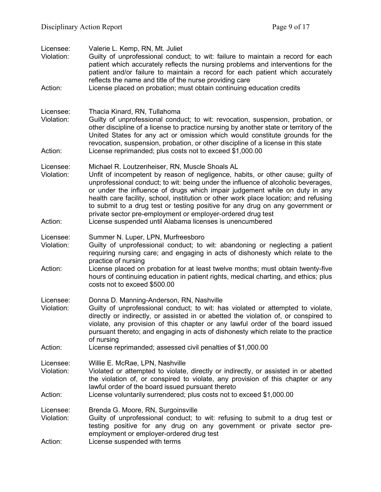| Licensee:<br>Violation:<br>Action: | Valerie L. Kemp, RN, Mt. Juliet<br>Guilty of unprofessional conduct; to wit: failure to maintain a record for each<br>patient which accurately reflects the nursing problems and interventions for the<br>patient and/or failure to maintain a record for each patient which accurately<br>reflects the name and title of the nurse providing care<br>License placed on probation; must obtain continuing education credits                                                                                                                                                                                |
|------------------------------------|------------------------------------------------------------------------------------------------------------------------------------------------------------------------------------------------------------------------------------------------------------------------------------------------------------------------------------------------------------------------------------------------------------------------------------------------------------------------------------------------------------------------------------------------------------------------------------------------------------|
|                                    |                                                                                                                                                                                                                                                                                                                                                                                                                                                                                                                                                                                                            |
| Licensee:<br>Violation:<br>Action: | Thacia Kinard, RN, Tullahoma<br>Guilty of unprofessional conduct; to wit: revocation, suspension, probation, or<br>other discipline of a license to practice nursing by another state or territory of the<br>United States for any act or omission which would constitute grounds for the<br>revocation, suspension, probation, or other discipline of a license in this state<br>License reprimanded; plus costs not to exceed \$1,000.00                                                                                                                                                                 |
| Licensee:<br>Violation:<br>Action: | Michael R. Loutzenheiser, RN, Muscle Shoals AL<br>Unfit of incompetent by reason of negligence, habits, or other cause; guilty of<br>unprofessional conduct; to wit: being under the influence of alcoholic beverages,<br>or under the influence of drugs which impair judgement while on duty in any<br>health care facility, school, institution or other work place location; and refusing<br>to submit to a drug test or testing positive for any drug on any government or<br>private sector pre-employment or employer-ordered drug test<br>License suspended until Alabama licenses is unencumbered |
| Licensee:<br>Violation:            | Summer N. Luper, LPN, Murfreesboro<br>Guilty of unprofessional conduct; to wit: abandoning or neglecting a patient<br>requiring nursing care; and engaging in acts of dishonesty which relate to the<br>practice of nursing                                                                                                                                                                                                                                                                                                                                                                                |
| Action:                            | License placed on probation for at least twelve months; must obtain twenty-five<br>hours of continuing education in patient rights, medical charting, and ethics; plus<br>costs not to exceed \$500.00                                                                                                                                                                                                                                                                                                                                                                                                     |
| Licensee:<br>Violation:            | Donna D. Manning-Anderson, RN, Nashville<br>Guilty of unprofessional conduct; to wit: has violated or attempted to violate,<br>directly or indirectly, or assisted in or abetted the violation of, or conspired to<br>violate, any provision of this chapter or any lawful order of the board issued<br>pursuant thereto; and engaging in acts of dishonesty which relate to the practice<br>of nursing                                                                                                                                                                                                    |
| Action:                            | License reprimanded; assessed civil penalties of \$1,000.00                                                                                                                                                                                                                                                                                                                                                                                                                                                                                                                                                |
| Licensee:<br>Violation:<br>Action: | Willie E. McRae, LPN, Nashville<br>Violated or attempted to violate, directly or indirectly, or assisted in or abetted<br>the violation of, or conspired to violate, any provision of this chapter or any<br>lawful order of the board issued pursuant thereto<br>License voluntarily surrendered; plus costs not to exceed \$1,000.00                                                                                                                                                                                                                                                                     |
|                                    |                                                                                                                                                                                                                                                                                                                                                                                                                                                                                                                                                                                                            |
| Licensee:<br>Violation:            | Brenda G. Moore, RN, Surgoinsville<br>Guilty of unprofessional conduct; to wit: refusing to submit to a drug test or<br>testing positive for any drug on any government or private sector pre-<br>employment or employer-ordered drug test                                                                                                                                                                                                                                                                                                                                                                 |
| Action:                            | License suspended with terms                                                                                                                                                                                                                                                                                                                                                                                                                                                                                                                                                                               |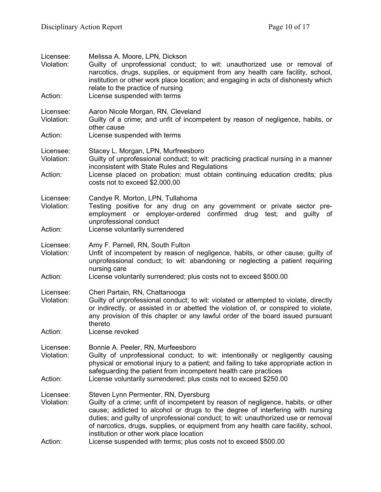| Licensee:<br>Violation:<br>Action: | Melissa A. Moore, LPN, Dickson<br>Guilty of unprofessional conduct; to wit: unauthorized use or removal of<br>narcotics, drugs, supplies, or equipment from any health care facility, school,<br>institution or other work place location; and engaging in acts of dishonesty which<br>relate to the practice of nursing<br>License suspended with terms                                                                          |
|------------------------------------|-----------------------------------------------------------------------------------------------------------------------------------------------------------------------------------------------------------------------------------------------------------------------------------------------------------------------------------------------------------------------------------------------------------------------------------|
| Licensee:<br>Violation:            | Aaron Nicole Morgan, RN, Cleveland<br>Guilty of a crime; and unfit of incompetent by reason of negligence, habits, or<br>other cause                                                                                                                                                                                                                                                                                              |
| Action:                            | License suspended with terms                                                                                                                                                                                                                                                                                                                                                                                                      |
| Licensee:<br>Violation:            | Stacey L. Morgan, LPN, Murfreesboro<br>Guilty of unprofessional conduct; to wit: practicing practical nursing in a manner<br>inconsistent with State Rules and Regulations                                                                                                                                                                                                                                                        |
| Action:                            | License placed on probation; must obtain continuing education credits; plus<br>costs not to exceed \$2,000.00                                                                                                                                                                                                                                                                                                                     |
| Licensee:<br>Violation:            | Candye R. Morton, LPN, Tullahoma<br>Testing positive for any drug on any government or private sector pre-<br>employment or employer-ordered confirmed drug test; and guilty of<br>unprofessional conduct                                                                                                                                                                                                                         |
| Action:                            | License voluntarily surrendered                                                                                                                                                                                                                                                                                                                                                                                                   |
| Licensee:<br>Violation:            | Amy F. Parnell, RN, South Fulton<br>Unfit of incompetent by reason of negligence, habits, or other cause; guilty of<br>unprofessional conduct; to wit: abandoning or neglecting a patient requiring<br>nursing care                                                                                                                                                                                                               |
| Action:                            | License voluntarily surrendered; plus costs not to exceed \$500.00                                                                                                                                                                                                                                                                                                                                                                |
| Licensee:<br>Violation:            | Cheri Partain, RN, Chattanooga<br>Guilty of unprofessional conduct; to wit: violated or attempted to violate, directly<br>or indirectly, or assisted in or abetted the violation of, or conspired to violate,<br>any provision of this chapter or any lawful order of the board issued pursuant<br>thereto                                                                                                                        |
| Action:                            | License revoked                                                                                                                                                                                                                                                                                                                                                                                                                   |
| Licensee:<br>Violation:            | Bonnie A. Peeler, RN, Murfeesboro<br>Guilty of unprofessional conduct; to wit: intentionally or negligently causing<br>physical or emotional injury to a patient; and failing to take appropriate action in<br>safeguarding the patient from incompetent health care practices                                                                                                                                                    |
| Action:                            | License voluntarily surrendered; plus costs not to exceed \$250.00                                                                                                                                                                                                                                                                                                                                                                |
| Licensee:<br>Violation:            | Steven Lynn Permenter, RN, Dyersburg<br>Guilty of a crime; unfit of incompetent by reason of negligence, habits, or other<br>cause; addicted to alcohol or drugs to the degree of interfering with nursing<br>duties; and guilty of unprofessional conduct; to wit: unauthorized use or removal<br>of narcotics, drugs, supplies, or equipment from any health care facility, school,<br>institution or other work place location |
| Action:                            | License suspended with terms; plus costs not to exceed \$500.00                                                                                                                                                                                                                                                                                                                                                                   |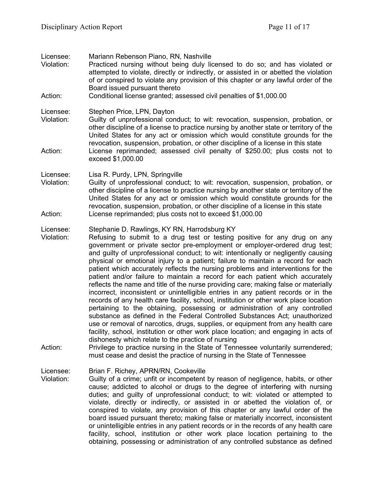| Licensee:<br>Violation:<br>Action: | Mariann Rebenson Piano, RN, Nashville<br>Practiced nursing without being duly licensed to do so; and has violated or<br>attempted to violate, directly or indirectly, or assisted in or abetted the violation<br>of or conspired to violate any provision of this chapter or any lawful order of the<br>Board issued pursuant thereto<br>Conditional license granted; assessed civil penalties of \$1,000.00                                                                                                                                                                                                                                                                                                                                                                                                                                                                                                                                                                                                                                                                                                                                                                                                                                                                                                                                                                              |
|------------------------------------|-------------------------------------------------------------------------------------------------------------------------------------------------------------------------------------------------------------------------------------------------------------------------------------------------------------------------------------------------------------------------------------------------------------------------------------------------------------------------------------------------------------------------------------------------------------------------------------------------------------------------------------------------------------------------------------------------------------------------------------------------------------------------------------------------------------------------------------------------------------------------------------------------------------------------------------------------------------------------------------------------------------------------------------------------------------------------------------------------------------------------------------------------------------------------------------------------------------------------------------------------------------------------------------------------------------------------------------------------------------------------------------------|
| Licensee:<br>Violation:<br>Action: | Stephen Price, LPN, Dayton<br>Guilty of unprofessional conduct; to wit: revocation, suspension, probation, or<br>other discipline of a license to practice nursing by another state or territory of the<br>United States for any act or omission which would constitute grounds for the<br>revocation, suspension, probation, or other discipline of a license in this state<br>License reprimanded; assessed civil penalty of \$250.00; plus costs not to<br>exceed \$1,000.00                                                                                                                                                                                                                                                                                                                                                                                                                                                                                                                                                                                                                                                                                                                                                                                                                                                                                                           |
| Licensee:<br>Violation:<br>Action: | Lisa R. Purdy, LPN, Springville<br>Guilty of unprofessional conduct; to wit: revocation, suspension, probation, or<br>other discipline of a license to practice nursing by another state or territory of the<br>United States for any act or omission which would constitute grounds for the<br>revocation, suspension, probation, or other discipline of a license in this state<br>License reprimanded; plus costs not to exceed \$1,000.00                                                                                                                                                                                                                                                                                                                                                                                                                                                                                                                                                                                                                                                                                                                                                                                                                                                                                                                                             |
| Licensee:<br>Violation:<br>Action: | Stephanie D. Rawlings, KY RN, Harrodsburg KY<br>Refusing to submit to a drug test or testing positive for any drug on any<br>government or private sector pre-employment or employer-ordered drug test;<br>and guilty of unprofessional conduct; to wit: intentionally or negligently causing<br>physical or emotional injury to a patient; failure to maintain a record for each<br>patient which accurately reflects the nursing problems and interventions for the<br>patient and/or failure to maintain a record for each patient which accurately<br>reflects the name and title of the nurse providing care; making false or materially<br>incorrect, inconsistent or unintelligible entries in any patient records or in the<br>records of any health care facility, school, institution or other work place location<br>pertaining to the obtaining, possessing or administration of any controlled<br>substance as defined in the Federal Controlled Substances Act; unauthorized<br>use or removal of narcotics, drugs, supplies, or equipment from any health care<br>facility, school, institution or other work place location; and engaging in acts of<br>dishonesty which relate to the practice of nursing<br>Privilege to practice nursing in the State of Tennessee voluntarily surrendered;<br>must cease and desist the practice of nursing in the State of Tennessee |
| Licensee:<br>Violation:            | Brian F. Richey, APRN/RN, Cookeville<br>Guilty of a crime; unfit or incompetent by reason of negligence, habits, or other<br>cause; addicted to alcohol or drugs to the degree of interfering with nursing<br>duties; and guilty of unprofessional conduct; to wit: violated or attempted to<br>violate, directly or indirectly, or assisted in or abetted the violation of, or<br>conspired to violate, any provision of this chapter or any lawful order of the<br>board issued pursuant thereto; making false or materially incorrect, inconsistent<br>or unintelligible entries in any patient records or in the records of any health care<br>facility, school, institution or other work place location pertaining to the                                                                                                                                                                                                                                                                                                                                                                                                                                                                                                                                                                                                                                                           |

obtaining, possessing or administration of any controlled substance as defined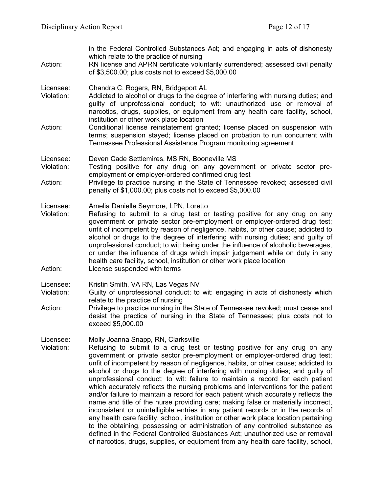| Action:                            | in the Federal Controlled Substances Act; and engaging in acts of dishonesty<br>which relate to the practice of nursing<br>RN license and APRN certificate voluntarily surrendered; assessed civil penalty<br>of \$3,500.00; plus costs not to exceed \$5,000.00                                                                                                                                                                                                                                                                                                                                                                                                                                                                                                                                                                                                                                                                                                                                                                                                                                                                                               |
|------------------------------------|----------------------------------------------------------------------------------------------------------------------------------------------------------------------------------------------------------------------------------------------------------------------------------------------------------------------------------------------------------------------------------------------------------------------------------------------------------------------------------------------------------------------------------------------------------------------------------------------------------------------------------------------------------------------------------------------------------------------------------------------------------------------------------------------------------------------------------------------------------------------------------------------------------------------------------------------------------------------------------------------------------------------------------------------------------------------------------------------------------------------------------------------------------------|
| Licensee:<br>Violation:            | Chandra C. Rogers, RN, Bridgeport AL<br>Addicted to alcohol or drugs to the degree of interfering with nursing duties; and<br>guilty of unprofessional conduct; to wit: unauthorized use or removal of<br>narcotics, drugs, supplies, or equipment from any health care facility, school,<br>institution or other work place location                                                                                                                                                                                                                                                                                                                                                                                                                                                                                                                                                                                                                                                                                                                                                                                                                          |
| Action:                            | Conditional license reinstatement granted; license placed on suspension with<br>terms; suspension stayed; license placed on probation to run concurrent with<br>Tennessee Professional Assistance Program monitoring agreement                                                                                                                                                                                                                                                                                                                                                                                                                                                                                                                                                                                                                                                                                                                                                                                                                                                                                                                                 |
| Licensee:<br>Violation:            | Deven Cade Settlemires, MS RN, Booneville MS<br>Testing positive for any drug on any government or private sector pre-<br>employment or employer-ordered confirmed drug test                                                                                                                                                                                                                                                                                                                                                                                                                                                                                                                                                                                                                                                                                                                                                                                                                                                                                                                                                                                   |
| Action:                            | Privilege to practice nursing in the State of Tennessee revoked; assessed civil<br>penalty of \$1,000.00; plus costs not to exceed \$5,000.00                                                                                                                                                                                                                                                                                                                                                                                                                                                                                                                                                                                                                                                                                                                                                                                                                                                                                                                                                                                                                  |
| Licensee:<br>Violation:<br>Action: | Amelia Danielle Seymore, LPN, Loretto<br>Refusing to submit to a drug test or testing positive for any drug on any<br>government or private sector pre-employment or employer-ordered drug test;<br>unfit of incompetent by reason of negligence, habits, or other cause; addicted to<br>alcohol or drugs to the degree of interfering with nursing duties; and guilty of<br>unprofessional conduct; to wit: being under the influence of alcoholic beverages,<br>or under the influence of drugs which impair judgement while on duty in any<br>health care facility, school, institution or other work place location<br>License suspended with terms                                                                                                                                                                                                                                                                                                                                                                                                                                                                                                        |
| Licensee:<br>Violation:            | Kristin Smith, VA RN, Las Vegas NV<br>Guilty of unprofessional conduct; to wit: engaging in acts of dishonesty which                                                                                                                                                                                                                                                                                                                                                                                                                                                                                                                                                                                                                                                                                                                                                                                                                                                                                                                                                                                                                                           |
| Action:                            | relate to the practice of nursing<br>Privilege to practice nursing in the State of Tennessee revoked; must cease and<br>desist the practice of nursing in the State of Tennessee; plus costs not to<br>exceed \$5,000.00                                                                                                                                                                                                                                                                                                                                                                                                                                                                                                                                                                                                                                                                                                                                                                                                                                                                                                                                       |
| Licensee:<br>Violation:            | Molly Joanna Snapp, RN, Clarksville<br>Refusing to submit to a drug test or testing positive for any drug on any<br>government or private sector pre-employment or employer-ordered drug test;<br>unfit of incompetent by reason of negligence, habits, or other cause; addicted to<br>alcohol or drugs to the degree of interfering with nursing duties; and guilty of<br>unprofessional conduct; to wit: failure to maintain a record for each patient<br>which accurately reflects the nursing problems and interventions for the patient<br>and/or failure to maintain a record for each patient which accurately reflects the<br>name and title of the nurse providing care; making false or materially incorrect,<br>inconsistent or unintelligible entries in any patient records or in the records of<br>any health care facility, school, institution or other work place location pertaining<br>to the obtaining, possessing or administration of any controlled substance as<br>defined in the Federal Controlled Substances Act; unauthorized use or removal<br>of narcotics, drugs, supplies, or equipment from any health care facility, school, |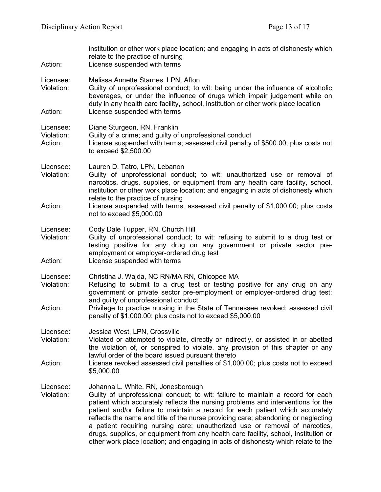| Action:                            | institution or other work place location; and engaging in acts of dishonesty which<br>relate to the practice of nursing<br>License suspended with terms                                                                                                                                                                                                                                                                                                                                                                                                                                                                                    |
|------------------------------------|--------------------------------------------------------------------------------------------------------------------------------------------------------------------------------------------------------------------------------------------------------------------------------------------------------------------------------------------------------------------------------------------------------------------------------------------------------------------------------------------------------------------------------------------------------------------------------------------------------------------------------------------|
| Licensee:<br>Violation:            | Melissa Annette Starnes, LPN, Afton<br>Guilty of unprofessional conduct; to wit: being under the influence of alcoholic<br>beverages, or under the influence of drugs which impair judgement while on<br>duty in any health care facility, school, institution or other work place location                                                                                                                                                                                                                                                                                                                                                |
| Action:                            | License suspended with terms                                                                                                                                                                                                                                                                                                                                                                                                                                                                                                                                                                                                               |
| Licensee:<br>Violation:<br>Action: | Diane Sturgeon, RN, Franklin<br>Guilty of a crime; and guilty of unprofessional conduct<br>License suspended with terms; assessed civil penalty of \$500.00; plus costs not<br>to exceed \$2,500.00                                                                                                                                                                                                                                                                                                                                                                                                                                        |
| Licensee:<br>Violation:<br>Action: | Lauren D. Tatro, LPN, Lebanon<br>Guilty of unprofessional conduct; to wit: unauthorized use or removal of<br>narcotics, drugs, supplies, or equipment from any health care facility, school,<br>institution or other work place location; and engaging in acts of dishonesty which<br>relate to the practice of nursing<br>License suspended with terms; assessed civil penalty of \$1,000.00; plus costs<br>not to exceed \$5,000.00                                                                                                                                                                                                      |
| Licensee:<br>Violation:<br>Action: | Cody Dale Tupper, RN, Church Hill<br>Guilty of unprofessional conduct; to wit: refusing to submit to a drug test or<br>testing positive for any drug on any government or private sector pre-<br>employment or employer-ordered drug test<br>License suspended with terms                                                                                                                                                                                                                                                                                                                                                                  |
| Licensee:<br>Violation:<br>Action: | Christina J. Wajda, NC RN/MA RN, Chicopee MA<br>Refusing to submit to a drug test or testing positive for any drug on any<br>government or private sector pre-employment or employer-ordered drug test;<br>and guilty of unprofessional conduct<br>Privilege to practice nursing in the State of Tennessee revoked; assessed civil<br>penalty of \$1,000.00; plus costs not to exceed \$5,000.00                                                                                                                                                                                                                                           |
| Licensee:<br>Violation:<br>Action: | Jessica West, LPN, Crossville<br>Violated or attempted to violate, directly or indirectly, or assisted in or abetted<br>the violation of, or conspired to violate, any provision of this chapter or any<br>lawful order of the board issued pursuant thereto<br>License revoked assessed civil penalties of \$1,000.00; plus costs not to exceed<br>\$5,000.00                                                                                                                                                                                                                                                                             |
| Licensee:<br>Violation:            | Johanna L. White, RN, Jonesborough<br>Guilty of unprofessional conduct; to wit: failure to maintain a record for each<br>patient which accurately reflects the nursing problems and interventions for the<br>patient and/or failure to maintain a record for each patient which accurately<br>reflects the name and title of the nurse providing care; abandoning or neglecting<br>a patient requiring nursing care; unauthorized use or removal of narcotics,<br>drugs, supplies, or equipment from any health care facility, school, institution or<br>other work place location; and engaging in acts of dishonesty which relate to the |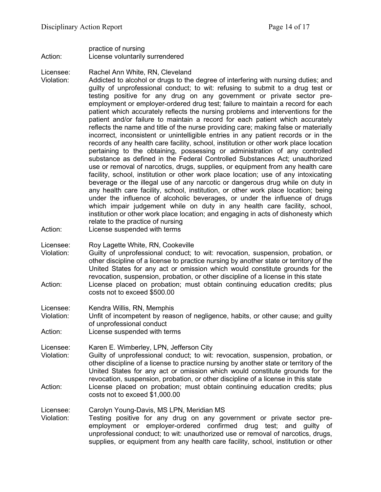practice of nursing Action: License voluntarily surrendered

Licensee: Rachel Ann White, RN, Cleveland

Violation: Addicted to alcohol or drugs to the degree of interfering with nursing duties; and guilty of unprofessional conduct; to wit: refusing to submit to a drug test or testing positive for any drug on any government or private sector preemployment or employer-ordered drug test; failure to maintain a record for each patient which accurately reflects the nursing problems and interventions for the patient and/or failure to maintain a record for each patient which accurately reflects the name and title of the nurse providing care; making false or materially incorrect, inconsistent or unintelligible entries in any patient records or in the records of any health care facility, school, institution or other work place location pertaining to the obtaining, possessing or administration of any controlled substance as defined in the Federal Controlled Substances Act; unauthorized use or removal of narcotics, drugs, supplies, or equipment from any health care facility, school, institution or other work place location; use of any intoxicating beverage or the illegal use of any narcotic or dangerous drug while on duty in any health care facility, school, institution, or other work place location; being under the influence of alcoholic beverages, or under the influence of drugs which impair judgement while on duty in any health care facility, school, institution or other work place location; and engaging in acts of dishonesty which relate to the practice of nursing

Action: License suspended with terms

Licensee: Roy Lagette White, RN, Cookeville

Violation: Guilty of unprofessional conduct; to wit: revocation, suspension, probation, or other discipline of a license to practice nursing by another state or territory of the United States for any act or omission which would constitute grounds for the revocation, suspension, probation, or other discipline of a license in this state Action: License placed on probation; must obtain continuing education credits; plus costs not to exceed \$500.00

Licensee: Kendra Willis, RN, Memphis

Violation: Unfit of incompetent by reason of negligence, habits, or other cause; and guilty of unprofessional conduct

Action: License suspended with terms

Licensee: Karen E. Wimberley, LPN, Jefferson City

Violation: Guilty of unprofessional conduct; to wit: revocation, suspension, probation, or other discipline of a license to practice nursing by another state or territory of the United States for any act or omission which would constitute grounds for the revocation, suspension, probation, or other discipline of a license in this state Action: License placed on probation; must obtain continuing education credits; plus costs not to exceed \$1,000.00

Licensee: Carolyn Young-Davis, MS LPN, Meridian MS

Testing positive for any drug on any government or private sector preemployment or employer-ordered confirmed drug test; and guilty of unprofessional conduct; to wit: unauthorized use or removal of narcotics, drugs, supplies, or equipment from any health care facility, school, institution or other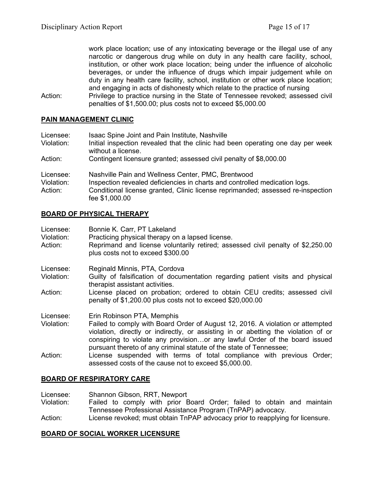work place location; use of any intoxicating beverage or the illegal use of any narcotic or dangerous drug while on duty in any health care facility, school, institution, or other work place location; being under the influence of alcoholic beverages, or under the influence of drugs which impair judgement while on duty in any health care facility, school, institution or other work place location; and engaging in acts of dishonesty which relate to the practice of nursing

Action: Privilege to practice nursing in the State of Tennessee revoked; assessed civil penalties of \$1,500.00; plus costs not to exceed \$5,000.00

## **PAIN MANAGEMENT CLINIC**

| Licensee:<br>Violation:            | Isaac Spine Joint and Pain Institute, Nashville<br>Initial inspection revealed that the clinic had been operating one day per week<br>without a license.                                                                              |
|------------------------------------|---------------------------------------------------------------------------------------------------------------------------------------------------------------------------------------------------------------------------------------|
| Action:                            | Contingent licensure granted; assessed civil penalty of \$8,000.00                                                                                                                                                                    |
| Licensee:<br>Violation:<br>Action: | Nashville Pain and Wellness Center, PMC, Brentwood<br>Inspection revealed deficiencies in charts and controlled medication logs.<br>Conditional license granted, Clinic license reprimanded; assessed re-inspection<br>fee \$1,000.00 |

# **BOARD OF PHYSICAL THERAPY**

| Licensee:<br>Violation: | Bonnie K. Carr, PT Lakeland<br>Practicing physical therapy on a lapsed license.                                                                                                                                                                                                                                           |
|-------------------------|---------------------------------------------------------------------------------------------------------------------------------------------------------------------------------------------------------------------------------------------------------------------------------------------------------------------------|
| Action:                 | Reprimand and license voluntarily retired; assessed civil penalty of \$2,250.00<br>plus costs not to exceed \$300.00                                                                                                                                                                                                      |
| Licensee:               | Reginald Minnis, PTA, Cordova                                                                                                                                                                                                                                                                                             |
| Violation:              | Guilty of falsification of documentation regarding patient visits and physical<br>therapist assistant activities.                                                                                                                                                                                                         |
| Action:                 | License placed on probation; ordered to obtain CEU credits; assessed civil<br>penalty of \$1,200.00 plus costs not to exceed \$20,000.00                                                                                                                                                                                  |
| Licensee:               | Erin Robinson PTA, Memphis                                                                                                                                                                                                                                                                                                |
| Violation:              | Failed to comply with Board Order of August 12, 2016. A violation or attempted<br>violation, directly or indirectly, or assisting in or abetting the violation of or<br>conspiring to violate any provisionor any lawful Order of the board issued<br>pursuant thereto of any criminal statute of the state of Tennessee; |
| Action:                 | License suspended with terms of total compliance with previous Order;<br>assessed costs of the cause not to exceed \$5,000.00.                                                                                                                                                                                            |

# **BOARD OF RESPIRATORY CARE**

Licensee: Shannon Gibson, RRT, Newport

- Violation: Failed to comply with prior Board Order; failed to obtain and maintain Tennessee Professional Assistance Program (TnPAP) advocacy.
- Action: License revoked; must obtain TnPAP advocacy prior to reapplying for licensure.

# **BOARD OF SOCIAL WORKER LICENSURE**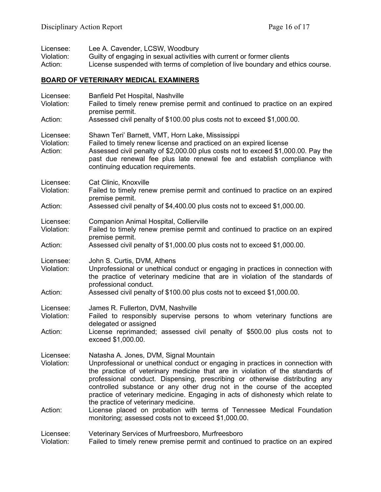| Licensee:<br>Violation:<br>Action:           | Lee A. Cavender, LCSW, Woodbury<br>Guilty of engaging in sexual activities with current or former clients<br>License suspended with terms of completion of live boundary and ethics course.                                                                                                                                                                                                                                                                                                                                                                                                                                        |  |  |  |
|----------------------------------------------|------------------------------------------------------------------------------------------------------------------------------------------------------------------------------------------------------------------------------------------------------------------------------------------------------------------------------------------------------------------------------------------------------------------------------------------------------------------------------------------------------------------------------------------------------------------------------------------------------------------------------------|--|--|--|
| <b>BOARD OF VETERINARY MEDICAL EXAMINERS</b> |                                                                                                                                                                                                                                                                                                                                                                                                                                                                                                                                                                                                                                    |  |  |  |
| Licensee:<br>Violation:                      | Banfield Pet Hospital, Nashville<br>Failed to timely renew premise permit and continued to practice on an expired<br>premise permit.                                                                                                                                                                                                                                                                                                                                                                                                                                                                                               |  |  |  |
| Action:                                      | Assessed civil penalty of \$100.00 plus costs not to exceed \$1,000.00.                                                                                                                                                                                                                                                                                                                                                                                                                                                                                                                                                            |  |  |  |
| Licensee:<br>Violation:<br>Action:           | Shawn Teri' Barnett, VMT, Horn Lake, Mississippi<br>Failed to timely renew license and practiced on an expired license<br>Assessed civil penalty of \$2,000.00 plus costs not to exceed \$1,000.00. Pay the<br>past due renewal fee plus late renewal fee and establish compliance with<br>continuing education requirements.                                                                                                                                                                                                                                                                                                      |  |  |  |
| Licensee:<br>Violation:                      | Cat Clinic, Knoxville<br>Failed to timely renew premise permit and continued to practice on an expired<br>premise permit.                                                                                                                                                                                                                                                                                                                                                                                                                                                                                                          |  |  |  |
| Action:                                      | Assessed civil penalty of \$4,400.00 plus costs not to exceed \$1,000.00.                                                                                                                                                                                                                                                                                                                                                                                                                                                                                                                                                          |  |  |  |
| Licensee:<br>Violation:                      | <b>Companion Animal Hospital, Collierville</b><br>Failed to timely renew premise permit and continued to practice on an expired<br>premise permit.                                                                                                                                                                                                                                                                                                                                                                                                                                                                                 |  |  |  |
| Action:                                      | Assessed civil penalty of \$1,000.00 plus costs not to exceed \$1,000.00.                                                                                                                                                                                                                                                                                                                                                                                                                                                                                                                                                          |  |  |  |
| Licensee:<br>Violation:                      | John S. Curtis, DVM, Athens<br>Unprofessional or unethical conduct or engaging in practices in connection with<br>the practice of veterinary medicine that are in violation of the standards of<br>professional conduct.                                                                                                                                                                                                                                                                                                                                                                                                           |  |  |  |
| Action:                                      | Assessed civil penalty of \$100.00 plus costs not to exceed \$1,000.00.                                                                                                                                                                                                                                                                                                                                                                                                                                                                                                                                                            |  |  |  |
| Licensee:<br>Violation:<br>Action:           | James R. Fullerton, DVM, Nashville<br>Failed to responsibly supervise persons to whom veterinary functions are<br>delegated or assigned<br>License reprimanded; assessed civil penalty of \$500.00 plus costs not to<br>exceed \$1,000.00.                                                                                                                                                                                                                                                                                                                                                                                         |  |  |  |
| Licensee:<br>Violation:<br>Action:           | Natasha A. Jones, DVM, Signal Mountain<br>Unprofessional or unethical conduct or engaging in practices in connection with<br>the practice of veterinary medicine that are in violation of the standards of<br>professional conduct. Dispensing, prescribing or otherwise distributing any<br>controlled substance or any other drug not in the course of the accepted<br>practice of veterinary medicine. Engaging in acts of dishonesty which relate to<br>the practice of veterinary medicine.<br>License placed on probation with terms of Tennessee Medical Foundation<br>monitoring; assessed costs not to exceed \$1,000.00. |  |  |  |
| Licensee:<br>Violation:                      | Veterinary Services of Murfreesboro, Murfreesboro<br>Failed to timely renew premise permit and continued to practice on an expired                                                                                                                                                                                                                                                                                                                                                                                                                                                                                                 |  |  |  |